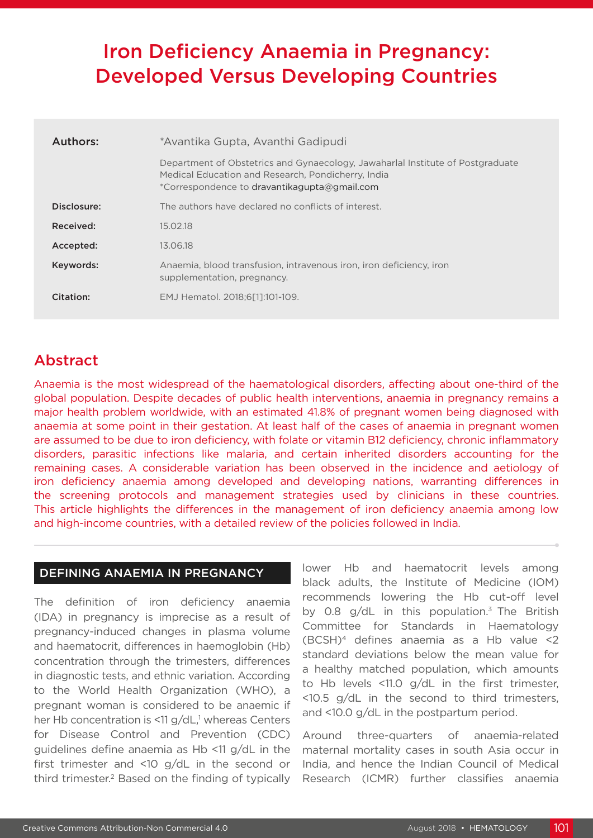# Iron Deficiency Anaemia in Pregnancy: Developed Versus Developing Countries

| Authors:    | *Avantika Gupta, Avanthi Gadipudi                                                                                                                                                    |  |
|-------------|--------------------------------------------------------------------------------------------------------------------------------------------------------------------------------------|--|
|             | Department of Obstetrics and Gynaecology, Jawaharlal Institute of Postgraduate<br>Medical Education and Research, Pondicherry, India<br>*Correspondence to dravantikagupta@gmail.com |  |
| Disclosure: | The authors have declared no conflicts of interest.                                                                                                                                  |  |
| Received:   | 15.02.18                                                                                                                                                                             |  |
| Accepted:   | 13.06.18                                                                                                                                                                             |  |
| Keywords:   | Anaemia, blood transfusion, intravenous iron, iron deficiency, iron<br>supplementation, pregnancy.                                                                                   |  |
| Citation:   | EMJ Hematol. 2018:6[11:101-109.                                                                                                                                                      |  |

# Abstract

Anaemia is the most widespread of the haematological disorders, affecting about one-third of the global population. Despite decades of public health interventions, anaemia in pregnancy remains a major health problem worldwide, with an estimated 41.8% of pregnant women being diagnosed with anaemia at some point in their gestation. At least half of the cases of anaemia in pregnant women are assumed to be due to iron deficiency, with folate or vitamin B12 deficiency, chronic inflammatory disorders, parasitic infections like malaria, and certain inherited disorders accounting for the remaining cases. A considerable variation has been observed in the incidence and aetiology of iron deficiency anaemia among developed and developing nations, warranting differences in the screening protocols and management strategies used by clinicians in these countries. This article highlights the differences in the management of iron deficiency anaemia among low and high-income countries, with a detailed review of the policies followed in India.

#### DEFINING ANAEMIA IN PREGNANCY

The definition of iron deficiency anaemia (IDA) in pregnancy is imprecise as a result of pregnancy-induced changes in plasma volume and haematocrit, differences in haemoglobin (Hb) concentration through the trimesters, differences in diagnostic tests, and ethnic variation. According to the World Health Organization (WHO), a pregnant woman is considered to be anaemic if her Hb concentration is <11 g/dL,<sup>1</sup> whereas Centers for Disease Control and Prevention (CDC) guidelines define anaemia as Hb <11 g/dL in the first trimester and <10 g/dL in the second or third trimester.2 Based on the finding of typically

lower Hb and haematocrit levels among black adults, the Institute of Medicine (IOM) recommends lowering the Hb cut-off level by 0.8 g/dL in this population.3 The British Committee for Standards in Haematology (BCSH)4 defines anaemia as a Hb value <2 standard deviations below the mean value for a healthy matched population, which amounts to Hb levels <11.0 g/dL in the first trimester, <10.5 g/dL in the second to third trimesters, and <10.0 g/dL in the postpartum period.

Around three-quarters of anaemia-related maternal mortality cases in south Asia occur in India, and hence the Indian Council of Medical Research (ICMR) further classifies anaemia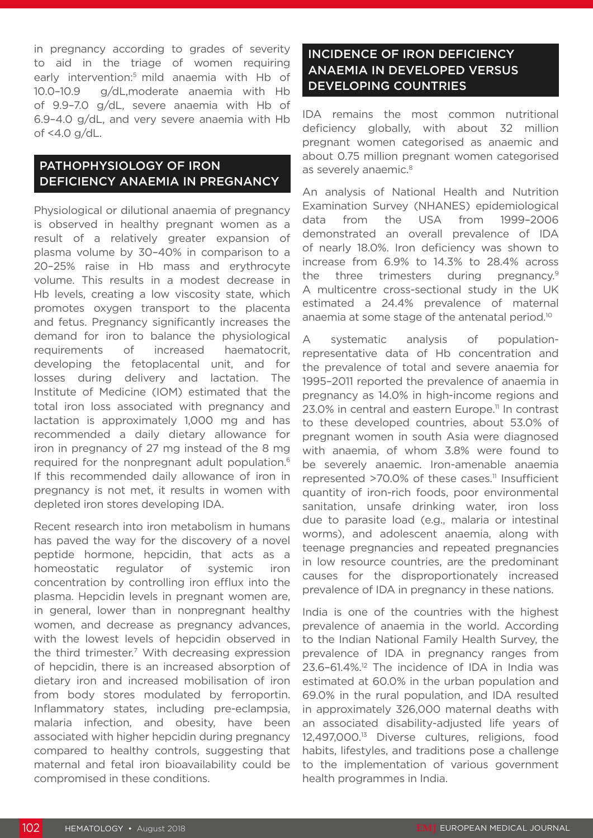in pregnancy according to grades of severity to aid in the triage of women requiring early intervention:<sup>5</sup> mild anaemia with Hb of 10.0–10.9 g/dL,moderate anaemia with Hb of 9.9–7.0 g/dL, severe anaemia with Hb of 6.9–4.0 g/dL, and very severe anaemia with Hb of <4.0 g/dL.

# PATHOPHYSIOLOGY OF IRON DEFICIENCY ANAEMIA IN PREGNANCY

Physiological or dilutional anaemia of pregnancy is observed in healthy pregnant women as a result of a relatively greater expansion of plasma volume by 30–40% in comparison to a 20–25% raise in Hb mass and erythrocyte volume. This results in a modest decrease in Hb levels, creating a low viscosity state, which promotes oxygen transport to the placenta and fetus. Pregnancy significantly increases the demand for iron to balance the physiological requirements of increased haematocrit, developing the fetoplacental unit, and for losses during delivery and lactation. The Institute of Medicine (IOM) estimated that the total iron loss associated with pregnancy and lactation is approximately 1,000 mg and has recommended a daily dietary allowance for iron in pregnancy of 27 mg instead of the 8 mg required for the nonpregnant adult population.<sup>6</sup> If this recommended daily allowance of iron in pregnancy is not met, it results in women with depleted iron stores developing IDA.

Recent research into iron metabolism in humans has paved the way for the discovery of a novel peptide hormone, hepcidin, that acts as a homeostatic regulator of systemic iron concentration by controlling iron efflux into the plasma. Hepcidin levels in pregnant women are, in general, lower than in nonpregnant healthy women, and decrease as pregnancy advances, with the lowest levels of hepcidin observed in the third trimester.<sup>7</sup> With decreasing expression of hepcidin, there is an increased absorption of dietary iron and increased mobilisation of iron from body stores modulated by ferroportin. Inflammatory states, including pre-eclampsia, malaria infection, and obesity, have been associated with higher hepcidin during pregnancy compared to healthy controls, suggesting that maternal and fetal iron bioavailability could be compromised in these conditions.

# INCIDENCE OF IRON DEFICIENCY ANAEMIA IN DEVELOPED VERSUS DEVELOPING COUNTRIES

IDA remains the most common nutritional deficiency globally, with about 32 million pregnant women categorised as anaemic and about 0.75 million pregnant women categorised as severely anaemic.<sup>8</sup>

An analysis of National Health and Nutrition Examination Survey (NHANES) epidemiological data from the USA from 1999–2006 demonstrated an overall prevalence of IDA of nearly 18.0%. Iron deficiency was shown to increase from 6.9% to 14.3% to 28.4% across the three trimesters during pregnancy.<sup>9</sup> A multicentre cross-sectional study in the UK estimated a 24.4% prevalence of maternal anaemia at some stage of the antenatal period.10

A systematic analysis of populationrepresentative data of Hb concentration and the prevalence of total and severe anaemia for 1995–2011 reported the prevalence of anaemia in pregnancy as 14.0% in high-income regions and 23.0% in central and eastern Europe.<sup>11</sup> In contrast to these developed countries, about 53.0% of pregnant women in south Asia were diagnosed with anaemia, of whom 3.8% were found to be severely anaemic. Iron-amenable anaemia represented  $>70.0\%$  of these cases.<sup>11</sup> Insufficient quantity of iron-rich foods, poor environmental sanitation, unsafe drinking water, iron loss due to parasite load (e.g., malaria or intestinal worms), and adolescent anaemia, along with teenage pregnancies and repeated pregnancies in low resource countries, are the predominant causes for the disproportionately increased prevalence of IDA in pregnancy in these nations.

India is one of the countries with the highest prevalence of anaemia in the world. According to the Indian National Family Health Survey, the prevalence of IDA in pregnancy ranges from  $23.6-61.4\%$ <sup>12</sup> The incidence of IDA in India was estimated at 60.0% in the urban population and 69.0% in the rural population, and IDA resulted in approximately 326,000 maternal deaths with an associated disability-adjusted life years of 12,497,000.13 Diverse cultures, religions, food habits, lifestyles, and traditions pose a challenge to the implementation of various government health programmes in India.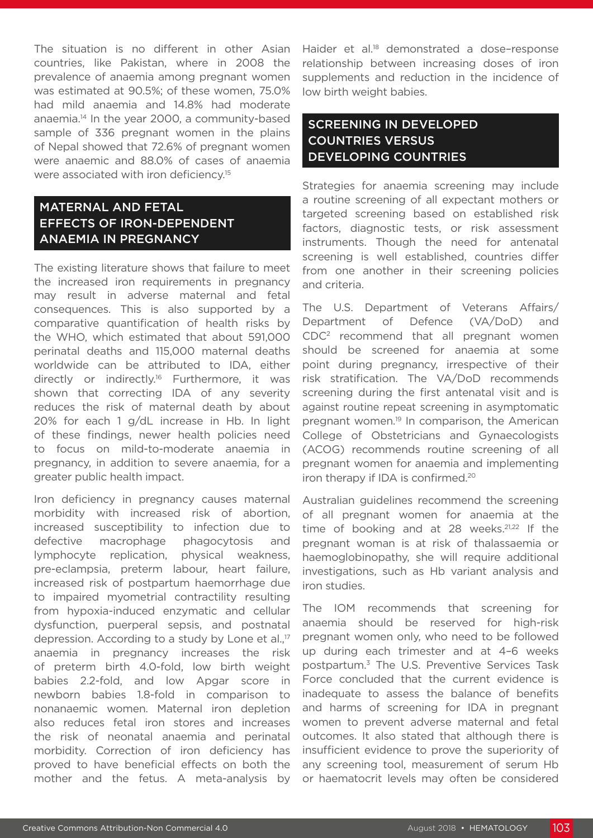The situation is no different in other Asian countries, like Pakistan, where in 2008 the prevalence of anaemia among pregnant women was estimated at 90.5%; of these women, 75.0% had mild anaemia and 14.8% had moderate anaemia.14 In the year 2000, a community-based sample of 336 pregnant women in the plains of Nepal showed that 72.6% of pregnant women were anaemic and 88.0% of cases of anaemia were associated with iron deficiency.<sup>15</sup>

# MATERNAL AND FETAL EFFECTS OF IRON-DEPENDENT ANAEMIA IN PREGNANCY

The existing literature shows that failure to meet the increased iron requirements in pregnancy may result in adverse maternal and fetal consequences. This is also supported by a comparative quantification of health risks by the WHO, which estimated that about 591,000 perinatal deaths and 115,000 maternal deaths worldwide can be attributed to IDA, either directly or indirectly.16 Furthermore, it was shown that correcting IDA of any severity reduces the risk of maternal death by about 20% for each 1 g/dL increase in Hb. In light of these findings, newer health policies need to focus on mild-to-moderate anaemia in pregnancy, in addition to severe anaemia, for a greater public health impact.

Iron deficiency in pregnancy causes maternal morbidity with increased risk of abortion, increased susceptibility to infection due to defective macrophage phagocytosis and lymphocyte replication, physical weakness, pre-eclampsia, preterm labour, heart failure, increased risk of postpartum haemorrhage due to impaired myometrial contractility resulting from hypoxia-induced enzymatic and cellular dysfunction, puerperal sepsis, and postnatal depression. According to a study by Lone et al.,<sup>17</sup> anaemia in pregnancy increases the risk of preterm birth 4.0-fold, low birth weight babies 2.2-fold, and low Apgar score in newborn babies 1.8-fold in comparison to nonanaemic women. Maternal iron depletion also reduces fetal iron stores and increases the risk of neonatal anaemia and perinatal morbidity. Correction of iron deficiency has proved to have beneficial effects on both the mother and the fetus. A meta-analysis by

Haider et al.<sup>18</sup> demonstrated a dose-response relationship between increasing doses of iron supplements and reduction in the incidence of low birth weight babies.

# SCREENING IN DEVELOPED COUNTRIES VERSUS DEVELOPING COUNTRIES

Strategies for anaemia screening may include a routine screening of all expectant mothers or targeted screening based on established risk factors, diagnostic tests, or risk assessment instruments. Though the need for antenatal screening is well established, countries differ from one another in their screening policies and criteria.

The U.S. Department of Veterans Affairs/ Department of Defence (VA/DoD) and CDC2 recommend that all pregnant women should be screened for anaemia at some point during pregnancy, irrespective of their risk stratification. The VA/DoD recommends screening during the first antenatal visit and is against routine repeat screening in asymptomatic pregnant women.19 In comparison, the American College of Obstetricians and Gynaecologists (ACOG) recommends routine screening of all pregnant women for anaemia and implementing iron therapy if IDA is confirmed.<sup>20</sup>

Australian guidelines recommend the screening of all pregnant women for anaemia at the time of booking and at 28 weeks. $21,22$  If the pregnant woman is at risk of thalassaemia or haemoglobinopathy, she will require additional investigations, such as Hb variant analysis and iron studies.

The IOM recommends that screening for anaemia should be reserved for high-risk pregnant women only, who need to be followed up during each trimester and at 4–6 weeks postpartum.3 The U.S. Preventive Services Task Force concluded that the current evidence is inadequate to assess the balance of benefits and harms of screening for IDA in pregnant women to prevent adverse maternal and fetal outcomes. It also stated that although there is insufficient evidence to prove the superiority of any screening tool, measurement of serum Hb or haematocrit levels may often be considered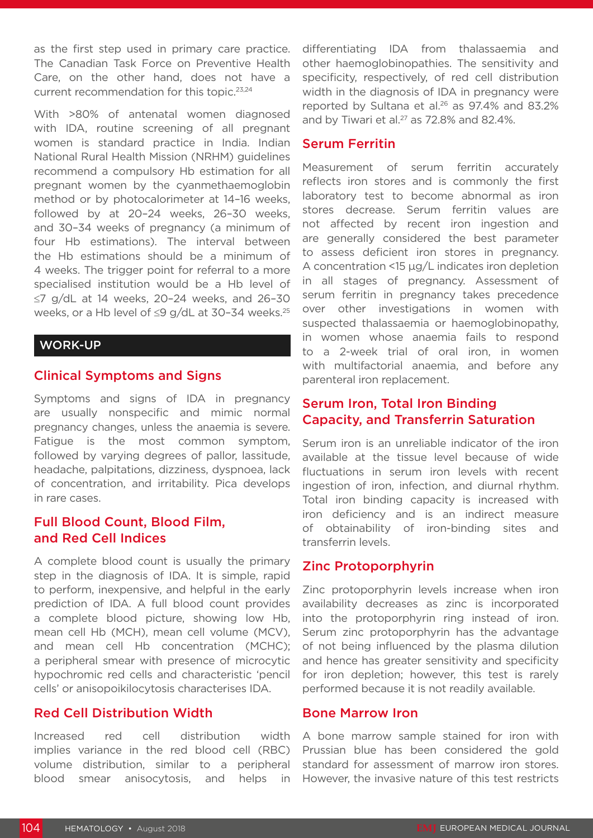as the first step used in primary care practice. The Canadian Task Force on Preventive Health Care, on the other hand, does not have a current recommendation for this topic.<sup>23,24</sup>

With >80% of antenatal women diagnosed with IDA, routine screening of all pregnant women is standard practice in India. Indian National Rural Health Mission (NRHM) guidelines recommend a compulsory Hb estimation for all pregnant women by the cyanmethaemoglobin method or by photocalorimeter at 14–16 weeks, followed by at 20–24 weeks, 26–30 weeks, and 30–34 weeks of pregnancy (a minimum of four Hb estimations). The interval between the Hb estimations should be a minimum of 4 weeks. The trigger point for referral to a more specialised institution would be a Hb level of ≤7 g/dL at 14 weeks, 20–24 weeks, and 26–30 weeks, or a Hb level of ≤9 g/dL at 30-34 weeks.<sup>25</sup>

#### WORK-UP

#### Clinical Symptoms and Signs

Symptoms and signs of IDA in pregnancy are usually nonspecific and mimic normal pregnancy changes, unless the anaemia is severe. Fatigue is the most common symptom, followed by varying degrees of pallor, lassitude, headache, palpitations, dizziness, dyspnoea, lack of concentration, and irritability. Pica develops in rare cases.

## Full Blood Count, Blood Film, and Red Cell Indices

A complete blood count is usually the primary step in the diagnosis of IDA. It is simple, rapid to perform, inexpensive, and helpful in the early prediction of IDA. A full blood count provides a complete blood picture, showing low Hb, mean cell Hb (MCH), mean cell volume (MCV), and mean cell Hb concentration (MCHC); a peripheral smear with presence of microcytic hypochromic red cells and characteristic 'pencil cells' or anisopoikilocytosis characterises IDA.

#### Red Cell Distribution Width

Increased red cell distribution width implies variance in the red blood cell (RBC) volume distribution, similar to a peripheral blood smear anisocytosis, and helps in

differentiating IDA from thalassaemia and other haemoglobinopathies. The sensitivity and specificity, respectively, of red cell distribution width in the diagnosis of IDA in pregnancy were reported by Sultana et al.26 as 97.4% and 83.2% and by Tiwari et al. $27$  as 72.8% and 82.4%.

#### Serum Ferritin

Measurement of serum ferritin accurately reflects iron stores and is commonly the first laboratory test to become abnormal as iron stores decrease. Serum ferritin values are not affected by recent iron ingestion and are generally considered the best parameter to assess deficient iron stores in pregnancy. A concentration <15 μg/L indicates iron depletion in all stages of pregnancy. Assessment of serum ferritin in pregnancy takes precedence over other investigations in women with suspected thalassaemia or haemoglobinopathy, in women whose anaemia fails to respond to a 2-week trial of oral iron, in women with multifactorial anaemia, and before any parenteral iron replacement.

## Serum Iron, Total Iron Binding Capacity, and Transferrin Saturation

Serum iron is an unreliable indicator of the iron available at the tissue level because of wide fluctuations in serum iron levels with recent ingestion of iron, infection, and diurnal rhythm. Total iron binding capacity is increased with iron deficiency and is an indirect measure of obtainability of iron-binding sites and transferrin levels.

#### Zinc Protoporphyrin

Zinc protoporphyrin levels increase when iron availability decreases as zinc is incorporated into the protoporphyrin ring instead of iron. Serum zinc protoporphyrin has the advantage of not being influenced by the plasma dilution and hence has greater sensitivity and specificity for iron depletion; however, this test is rarely performed because it is not readily available.

#### Bone Marrow Iron

A bone marrow sample stained for iron with Prussian blue has been considered the gold standard for assessment of marrow iron stores. However, the invasive nature of this test restricts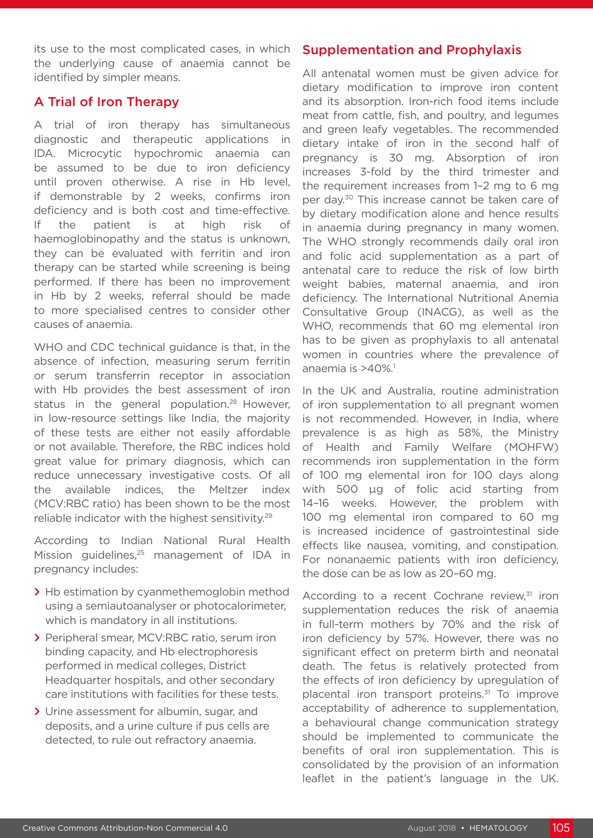its use to the most complicated cases, in which the underlying cause of anaemia cannot be identified by simpler means.

### A Trial of Iron Therapy

A trial of iron therapy has simultaneous diagnostic and therapeutic applications in IDA. Microcytic hypochromic anaemia can be assumed to be due to iron deficiency until proven otherwise. A rise in Hb level, if demonstrable by 2 weeks, confirms iron deficiency and is both cost and time-effective. If the patient is at high risk of haemoglobinopathy and the status is unknown, they can be evaluated with ferritin and iron therapy can be started while screening is being performed. If there has been no improvement in Hb by 2 weeks, referral should be made to more specialised centres to consider other causes of anaemia.

WHO and CDC technical quidance is that, in the absence of infection, measuring serum ferritin or serum transferrin receptor in association with Hb provides the best assessment of iron status in the general population.<sup>28</sup> However, in low-resource settings like India, the majority of these tests are either not easily affordable or not available. Therefore, the RBC indices hold great value for primary diagnosis, which can reduce unnecessary investigative costs. Of all the available indices, the Meltzer index (MCV:RBC ratio) has been shown to be the most reliable indicator with the highest sensitivity.<sup>29</sup>

According to Indian National Rural Health Mission guidelines,<sup>25</sup> management of IDA in pregnancy includes:

- **>** Hb estimation by cyanmethemoglobin method using a semiautoanalyser or photocalorimeter, which is mandatory in all institutions.
- **>** Peripheral smear, MCV:RBC ratio, serum iron binding capacity, and Hb electrophoresis performed in medical colleges, District Headquarter hospitals, and other secondary care institutions with facilities for these tests.
- **>** Urine assessment for albumin, sugar, and deposits, and a urine culture if pus cells are detected, to rule out refractory anaemia.

# Supplementation and Prophylaxis

All antenatal women must be given advice for dietary modification to improve iron content and its absorption. Iron-rich food items include meat from cattle, fish, and poultry, and legumes and green leafy vegetables. The recommended dietary intake of iron in the second half of pregnancy is 30 mg. Absorption of iron increases 3-fold by the third trimester and the requirement increases from 1–2 mg to 6 mg per day.30 This increase cannot be taken care of by dietary modification alone and hence results in anaemia during pregnancy in many women. The WHO strongly recommends daily oral iron and folic acid supplementation as a part of antenatal care to reduce the risk of low birth weight babies, maternal anaemia, and iron deficiency. The International Nutritional Anemia Consultative Group (INACG), as well as the WHO, recommends that 60 mg elemental iron has to be given as prophylaxis to all antenatal women in countries where the prevalence of anaemia is  $>40\%$ <sup>1</sup>

In the UK and Australia, routine administration of iron supplementation to all pregnant women is not recommended. However, in India, where prevalence is as high as 58%, the Ministry of Health and Family Welfare (MOHFW) recommends iron supplementation in the form of 100 mg elemental iron for 100 days along with 500 μg of folic acid starting from 14–16 weeks. However, the problem with 100 mg elemental iron compared to 60 mg is increased incidence of gastrointestinal side effects like nausea, vomiting, and constipation. For nonanaemic patients with iron deficiency, the dose can be as low as 20–60 mg.

According to a recent Cochrane review,<sup>31</sup> iron supplementation reduces the risk of anaemia in full-term mothers by 70% and the risk of iron deficiency by 57%. However, there was no significant effect on preterm birth and neonatal death. The fetus is relatively protected from the effects of iron deficiency by upregulation of placental iron transport proteins.<sup>31</sup> To improve acceptability of adherence to supplementation, a behavioural change communication strategy should be implemented to communicate the benefits of oral iron supplementation. This is consolidated by the provision of an information leaflet in the patient's language in the UK.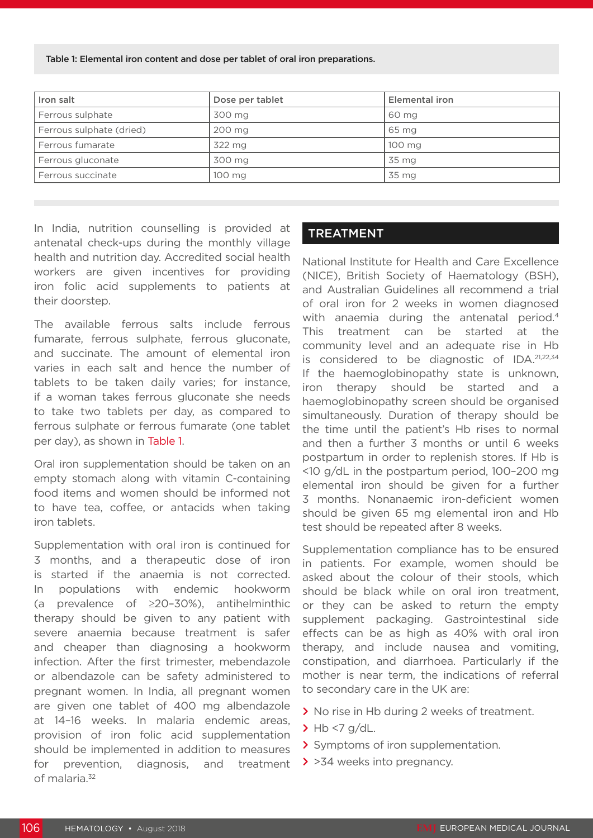Table 1: Elemental iron content and dose per tablet of oral iron preparations.

| Iron salt                | Dose per tablet | Elemental iron |
|--------------------------|-----------------|----------------|
| Ferrous sulphate         | 300 mg          | 60 mg          |
| Ferrous sulphate (dried) | 200 mg          | 65 mg          |
| l Ferrous fumarate       | 322 mg          | 100 mg         |
| Ferrous gluconate        | 300 mg          | 35 mg          |
| Ferrous succinate        | 100 mg          | 35 mg          |

In India, nutrition counselling is provided at antenatal check-ups during the monthly village health and nutrition day. Accredited social health workers are given incentives for providing iron folic acid supplements to patients at their doorstep.

The available ferrous salts include ferrous fumarate, ferrous sulphate, ferrous gluconate, and succinate. The amount of elemental iron varies in each salt and hence the number of tablets to be taken daily varies; for instance, if a woman takes ferrous gluconate she needs to take two tablets per day, as compared to ferrous sulphate or ferrous fumarate (one tablet per day), as shown in Table 1.

Oral iron supplementation should be taken on an empty stomach along with vitamin C-containing food items and women should be informed not to have tea, coffee, or antacids when taking iron tablets.

Supplementation with oral iron is continued for 3 months, and a therapeutic dose of iron is started if the anaemia is not corrected. In populations with endemic hookworm (a prevalence of ≥20–30%), antihelminthic therapy should be given to any patient with severe anaemia because treatment is safer and cheaper than diagnosing a hookworm infection. After the first trimester, mebendazole or albendazole can be safety administered to pregnant women. In India, all pregnant women are given one tablet of 400 mg albendazole at 14–16 weeks. In malaria endemic areas, provision of iron folic acid supplementation should be implemented in addition to measures for prevention, diagnosis, and treatment of malaria.<sup>32</sup>

#### TREATMENT

National Institute for Health and Care Excellence (NICE), British Society of Haematology (BSH), and Australian Guidelines all recommend a trial of oral iron for 2 weeks in women diagnosed with anaemia during the antenatal period.<sup>4</sup> This treatment can be started at the community level and an adequate rise in Hb is considered to be diagnostic of IDA.21,22,34 If the haemoglobinopathy state is unknown, iron therapy should be started and a haemoglobinopathy screen should be organised simultaneously. Duration of therapy should be the time until the patient's Hb rises to normal and then a further 3 months or until 6 weeks postpartum in order to replenish stores. If Hb is <10 g/dL in the postpartum period, 100–200 mg elemental iron should be given for a further 3 months. Nonanaemic iron-deficient women should be given 65 mg elemental iron and Hb test should be repeated after 8 weeks.

Supplementation compliance has to be ensured in patients. For example, women should be asked about the colour of their stools, which should be black while on oral iron treatment, or they can be asked to return the empty supplement packaging. Gastrointestinal side effects can be as high as 40% with oral iron therapy, and include nausea and vomiting, constipation, and diarrhoea. Particularly if the mother is near term, the indications of referral to secondary care in the UK are:

- **>** No rise in Hb during 2 weeks of treatment.
- **>** Hb <7 g/dL.
- **>** Symptoms of iron supplementation.
- **>** >34 weeks into pregnancy.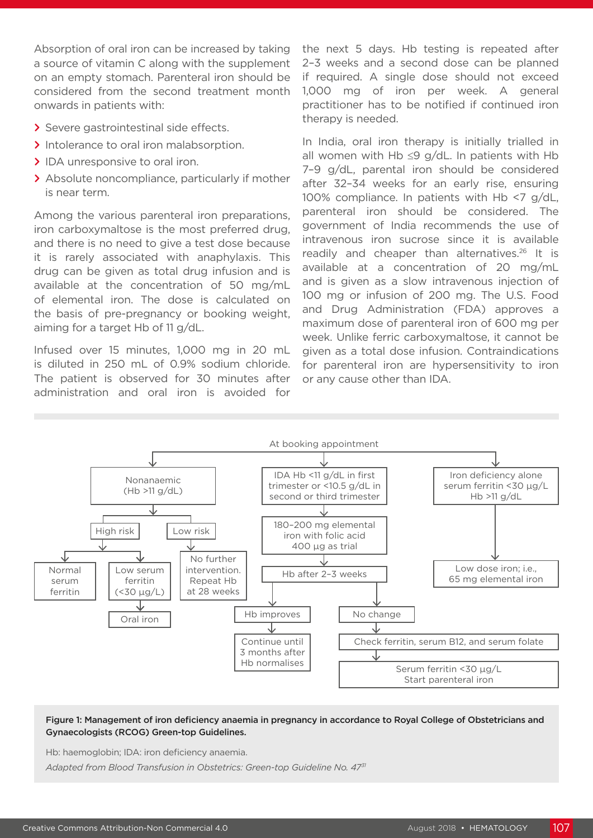Absorption of oral iron can be increased by taking a source of vitamin C along with the supplement on an empty stomach. Parenteral iron should be considered from the second treatment month onwards in patients with:

- **>** Severe gastrointestinal side effects.
- **>** Intolerance to oral iron malabsorption.
- **>** IDA unresponsive to oral iron.
- **>** Absolute noncompliance, particularly if mother is near term.

Among the various parenteral iron preparations, iron carboxymaltose is the most preferred drug, and there is no need to give a test dose because it is rarely associated with anaphylaxis. This drug can be given as total drug infusion and is available at the concentration of 50 mg/mL of elemental iron. The dose is calculated on the basis of pre-pregnancy or booking weight, aiming for a target Hb of 11 g/dL.

Infused over 15 minutes, 1,000 mg in 20 mL is diluted in 250 mL of 0.9% sodium chloride. The patient is observed for 30 minutes after administration and oral iron is avoided for

the next 5 days. Hb testing is repeated after 2–3 weeks and a second dose can be planned if required. A single dose should not exceed 1,000 mg of iron per week. A general practitioner has to be notified if continued iron therapy is needed.

In India, oral iron therapy is initially trialled in all women with Hb  $\leq$ 9 g/dL. In patients with Hb 7–9 g/dL, parental iron should be considered after 32–34 weeks for an early rise, ensuring 100% compliance. In patients with Hb <7 g/dL, parenteral iron should be considered. The government of India recommends the use of intravenous iron sucrose since it is available readily and cheaper than alternatives.<sup>26</sup> It is available at a concentration of 20 mg/mL and is given as a slow intravenous injection of 100 mg or infusion of 200 mg. The U.S. Food and Drug Administration (FDA) approves a maximum dose of parenteral iron of 600 mg per week. Unlike ferric carboxymaltose, it cannot be given as a total dose infusion. Contraindications for parenteral iron are hypersensitivity to iron or any cause other than IDA.



#### Figure 1: Management of iron deficiency anaemia in pregnancy in accordance to Royal College of Obstetricians and Gynaecologists (RCOG) Green-top Guidelines.

Hb: haemoglobin; IDA: iron deficiency anaemia.

*Adapted from Blood Transfusion in Obstetrics: Green-top Guideline No. 4731*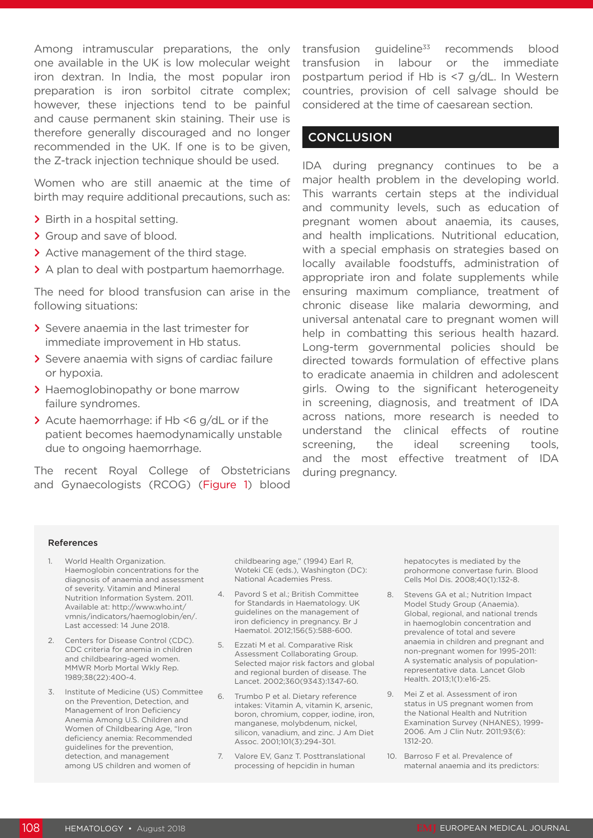Among intramuscular preparations, the only one available in the UK is low molecular weight iron dextran. In India, the most popular iron preparation is iron sorbitol citrate complex; however, these injections tend to be painful and cause permanent skin staining. Their use is therefore generally discouraged and no longer recommended in the UK. If one is to be given, the Z-track injection technique should be used.

Women who are still anaemic at the time of birth may require additional precautions, such as:

- **>** Birth in a hospital setting.
- **>** Group and save of blood.
- **>** Active management of the third stage.
- **>** A plan to deal with postpartum haemorrhage.

The need for blood transfusion can arise in the following situations:

- **>** Severe anaemia in the last trimester for immediate improvement in Hb status.
- **>** Severe anaemia with signs of cardiac failure or hypoxia.
- **>** Haemoglobinopathy or bone marrow failure syndromes.
- **>** Acute haemorrhage: if Hb <6 g/dL or if the patient becomes haemodynamically unstable due to ongoing haemorrhage.

The recent Royal College of Obstetricians and Gynaecologists (RCOG) (Figure 1) blood

transfusion guideline $33$  recommends blood transfusion in labour or the immediate postpartum period if Hb is <7 g/dL. In Western countries, provision of cell salvage should be considered at the time of caesarean section.

#### **CONCLUSION**

IDA during pregnancy continues to be a major health problem in the developing world. This warrants certain steps at the individual and community levels, such as education of pregnant women about anaemia, its causes, and health implications. Nutritional education, with a special emphasis on strategies based on locally available foodstuffs, administration of appropriate iron and folate supplements while ensuring maximum compliance, treatment of chronic disease like malaria deworming, and universal antenatal care to pregnant women will help in combatting this serious health hazard. Long-term governmental policies should be directed towards formulation of effective plans to eradicate anaemia in children and adolescent girls. Owing to the significant heterogeneity in screening, diagnosis, and treatment of IDA across nations, more research is needed to understand the clinical effects of routine screening, the ideal screening tools, and the most effective treatment of IDA during pregnancy.

#### **References**

- 1. World Health Organization. Haemoglobin concentrations for the diagnosis of anaemia and assessment of severity. Vitamin and Mineral Nutrition Information System. 2011. Available at: http://www.who.int/ vmnis/indicators/haemoglobin/en/. Last accessed: 14 June 2018.
- 2. Centers for Disease Control (CDC). CDC criteria for anemia in children and childbearing-aged women. MMWR Morb Mortal Wkly Rep. 1989;38(22):400-4.
- 3. Institute of Medicine (US) Committee on the Prevention, Detection, and Management of Iron Deficiency Anemia Among U.S. Children and Women of Childbearing Age, "Iron deficiency anemia: Recommended guidelines for the prevention, detection, and management among US children and women of

childbearing age," (1994) Earl R, Woteki CE (eds.), Washington (DC): National Academies Press.

- 4. Pavord S et al.; British Committee for Standards in Haematology. UK guidelines on the management of iron deficiency in pregnancy. Br J Haematol. 2012;156(5):588-600.
- 5. Ezzati M et al. Comparative Risk Assessment Collaborating Group. Selected major risk factors and global and regional burden of disease. The Lancet. 2002;360(9343):1347-60.
- 6. Trumbo P et al. Dietary reference intakes: Vitamin A, vitamin K, arsenic, boron, chromium, copper, iodine, iron, manganese, molybdenum, nickel, silicon, vanadium, and zinc. J Am Diet Assoc. 2001;101(3):294-301.
- 7. Valore EV, Ganz T. Posttranslational processing of hepcidin in human

hepatocytes is mediated by the prohormone convertase furin. Blood Cells Mol Dis. 2008;40(1):132-8.

- 8. Stevens GA et al.; Nutrition Impact Model Study Group (Anaemia). Global, regional, and national trends in haemoglobin concentration and prevalence of total and severe anaemia in children and pregnant and non-pregnant women for 1995-2011: A systematic analysis of populationrepresentative data. Lancet Glob Health. 2013;1(1):e16-25.
- 9. Mei Z et al. Assessment of iron status in US pregnant women from the National Health and Nutrition Examination Survey (NHANES), 1999- 2006. Am J Clin Nutr. 2011;93(6): 1312-20.
- 10. Barroso F et al. Prevalence of maternal anaemia and its predictors: